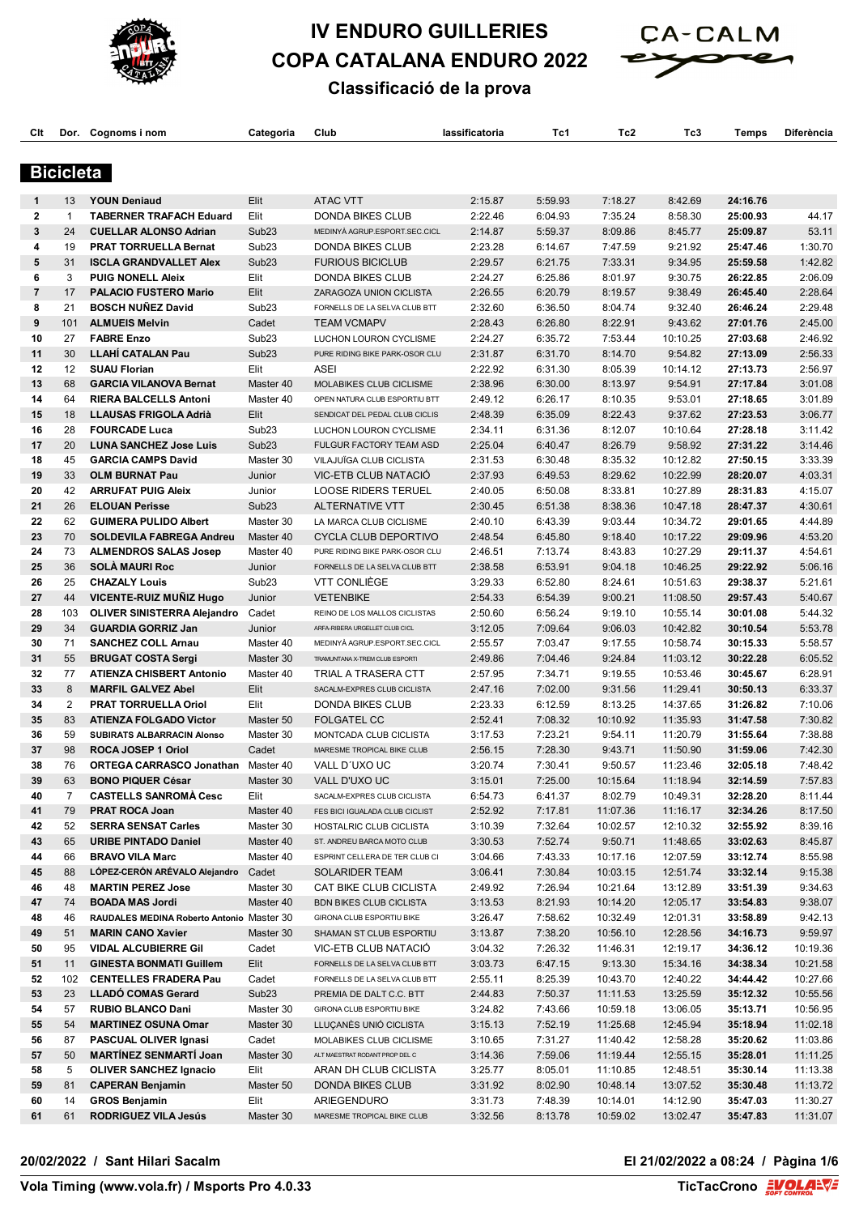

# **IV ENDURO GUILLERIES COPA CATALANA ENDURO 2022**



# **Classificació de la prova**

| Clt          |                  | Dor. Cognoms i nom                                           | Categoria                 | Club                                                            | lassificatoria     | Tc1                | Tc2                  | ТсЗ                  | Temps                | Diferència           |
|--------------|------------------|--------------------------------------------------------------|---------------------------|-----------------------------------------------------------------|--------------------|--------------------|----------------------|----------------------|----------------------|----------------------|
|              |                  |                                                              |                           |                                                                 |                    |                    |                      |                      |                      |                      |
|              | <b>Bicicleta</b> |                                                              |                           |                                                                 |                    |                    |                      |                      |                      |                      |
|              |                  |                                                              |                           |                                                                 |                    |                    |                      |                      |                      |                      |
| 1            | 13               | <b>YOUN Deniaud</b>                                          | Elit                      | <b>ATAC VTT</b>                                                 | 2:15.87            | 5:59.93            | 7:18.27              | 8:42.69              | 24:16.76             |                      |
| $\mathbf{2}$ | $\mathbf{1}$     | <b>TABERNER TRAFACH Eduard</b>                               | Elit                      | <b>DONDA BIKES CLUB</b>                                         | 2:22.46            | 6:04.93            | 7:35.24              | 8:58.30              | 25:00.93             | 44.17                |
| 3            | 24               | <b>CUELLAR ALONSO Adrian</b>                                 | Sub <sub>23</sub>         | MEDINYÀ AGRUP.ESPORT.SEC.CICL                                   | 2:14.87            | 5:59.37            | 8:09.86              | 8:45.77              | 25:09.87             | 53.11                |
| 4            | 19               | <b>PRAT TORRUELLA Bernat</b>                                 | Sub <sub>23</sub>         | <b>DONDA BIKES CLUB</b>                                         | 2:23.28            | 6:14.67            | 7:47.59              | 9:21.92              | 25:47.46             | 1:30.70              |
| 5<br>6       | 31<br>3          | <b>ISCLA GRANDVALLET Alex</b><br><b>PUIG NONELL Aleix</b>    | Sub <sub>23</sub><br>Elit | <b>FURIOUS BICICLUB</b><br><b>DONDA BIKES CLUB</b>              | 2:29.57            | 6:21.75            | 7:33.31              | 9:34.95              | 25:59.58             | 1:42.82              |
| 7            | 17               | <b>PALACIO FUSTERO Mario</b>                                 | Elit                      | ZARAGOZA UNION CICLISTA                                         | 2:24.27<br>2:26.55 | 6:25.86<br>6:20.79 | 8:01.97<br>8:19.57   | 9:30.75<br>9:38.49   | 26:22.85<br>26:45.40 | 2:06.09<br>2:28.64   |
| 8            | 21               | <b>BOSCH NUÑEZ David</b>                                     | Sub <sub>23</sub>         | FORNELLS DE LA SELVA CLUB BTT                                   | 2:32.60            | 6:36.50            | 8:04.74              | 9:32.40              | 26:46.24             | 2:29.48              |
| 9            | 101              | <b>ALMUEIS Melvin</b>                                        | Cadet                     | <b>TEAM VCMAPV</b>                                              | 2:28.43            | 6:26.80            | 8:22.91              | 9:43.62              | 27:01.76             | 2:45.00              |
| 10           | 27               | <b>FABRE Enzo</b>                                            | Sub <sub>23</sub>         | LUCHON LOURON CYCLISME                                          | 2:24.27            | 6:35.72            | 7:53.44              | 10:10.25             | 27:03.68             | 2:46.92              |
| 11           | 30               | <b>LLAHÍ CATALAN Pau</b>                                     | Sub <sub>23</sub>         | PURE RIDING BIKE PARK-OSOR CLU                                  | 2:31.87            | 6:31.70            | 8:14.70              | 9:54.82              | 27:13.09             | 2:56.33              |
| 12           | 12               | <b>SUAU Florian</b>                                          | Elit                      | ASEI                                                            | 2:22.92            | 6:31.30            | 8:05.39              | 10:14.12             | 27:13.73             | 2:56.97              |
| 13           | 68               | <b>GARCIA VILANOVA Bernat</b>                                | Master 40                 | MOLABIKES CLUB CICLISME                                         | 2:38.96            | 6:30.00            | 8:13.97              | 9:54.91              | 27:17.84             | 3:01.08              |
| 14           | 64               | <b>RIERA BALCELLS Antoni</b>                                 | Master 40                 | OPEN NATURA CLUB ESPORTIU BTT                                   | 2:49.12            | 6:26.17            | 8:10.35              | 9:53.01              | 27:18.65             | 3:01.89              |
| 15           | 18               | <b>LLAUSAS FRIGOLA Adrià</b>                                 | Elit                      | SENDICAT DEL PEDAL CLUB CICLIS                                  | 2:48.39            | 6:35.09            | 8:22.43              | 9:37.62              | 27:23.53             | 3:06.77              |
| 16           | 28               | <b>FOURCADE Luca</b>                                         | Sub <sub>23</sub>         | LUCHON LOURON CYCLISME                                          | 2:34.11            | 6:31.36            | 8:12.07              | 10:10.64             | 27:28.18             | 3:11.42              |
| 17           | 20               | <b>LUNA SANCHEZ Jose Luis</b>                                | Sub <sub>23</sub>         | FULGUR FACTORY TEAM ASD                                         | 2:25.04            | 6:40.47            | 8:26.79              | 9:58.92              | 27:31.22             | 3:14.46              |
| 18           | 45               | <b>GARCIA CAMPS David</b>                                    | Master 30                 | VILAJUÏGA CLUB CICLISTA                                         | 2:31.53            | 6:30.48            | 8:35.32              | 10:12.82             | 27:50.15             | 3:33.39              |
| 19           | 33               | <b>OLM BURNAT Pau</b>                                        | Junior                    | VIC-ETB CLUB NATACIÓ                                            | 2:37.93            | 6:49.53            | 8:29.62              | 10:22.99             | 28:20.07             | 4:03.31              |
| 20           | 42               | <b>ARRUFAT PUIG Aleix</b>                                    | Junior                    | <b>LOOSE RIDERS TERUEL</b>                                      | 2:40.05            | 6:50.08            | 8:33.81              | 10:27.89             | 28:31.83             | 4:15.07              |
| 21           | 26               | <b>ELOUAN Perisse</b>                                        | Sub <sub>23</sub>         | <b>ALTERNATIVE VTT</b>                                          | 2:30.45            | 6:51.38            | 8:38.36              | 10:47.18             | 28:47.37             | 4:30.61              |
| 22           | 62               | <b>GUIMERA PULIDO Albert</b>                                 | Master 30                 | LA MARCA CLUB CICLISME                                          | 2:40.10            | 6:43.39            | 9:03.44              | 10:34.72             | 29:01.65             | 4:44.89              |
| 23           | 70               | <b>SOLDEVILA FABREGA Andreu</b>                              | Master 40                 | CYCLA CLUB DEPORTIVO                                            | 2:48.54            | 6:45.80            | 9:18.40              | 10:17.22             | 29:09.96             | 4:53.20              |
| 24           | 73               | <b>ALMENDROS SALAS Josep</b>                                 | Master 40                 | PURE RIDING BIKE PARK-OSOR CLU                                  | 2:46.51            | 7:13.74            | 8:43.83              | 10:27.29             | 29:11.37             | 4:54.61              |
| 25           | 36               | <b>SOLÀ MAURI Roc</b>                                        | Junior                    | FORNELLS DE LA SELVA CLUB BTT                                   | 2:38.58            | 6:53.91            | 9:04.18              | 10:46.25             | 29:22.92             | 5:06.16              |
| 26           | 25               | <b>CHAZALY Louis</b>                                         | Sub <sub>23</sub>         | <b>VTT CONLIÈGE</b>                                             | 3:29.33            | 6:52.80            | 8:24.61              | 10:51.63             | 29:38.37             | 5:21.61              |
| 27           | 44               | <b>VICENTE-RUIZ MUNIZ Hugo</b>                               | Junior                    | <b>VETENBIKE</b>                                                | 2:54.33            | 6:54.39            | 9:00.21              | 11:08.50             | 29:57.43             | 5:40.67              |
| 28           | 103              | <b>OLIVER SINISTERRA Alejandro</b>                           | Cadet                     | REINO DE LOS MALLOS CICLISTAS                                   | 2:50.60            | 6:56.24            | 9:19.10              | 10:55.14             | 30:01.08             | 5:44.32              |
| 29           | 34               | <b>GUARDIA GORRIZ Jan</b>                                    | Junior                    | ARFA-RIBERA URGELLET CLUB CICL                                  | 3:12.05            | 7:09.64            | 9:06.03              | 10:42.82             | 30:10.54             | 5:53.78              |
| 30<br>31     | 71<br>55         | <b>SANCHEZ COLL Arnau</b>                                    | Master 40<br>Master 30    | MEDINYÀ AGRUP.ESPORT.SEC.CICL<br>TRAMUNTANA X-TREM CLUB ESPORTI | 2:55.57<br>2:49.86 | 7:03.47<br>7:04.46 | 9:17.55<br>9:24.84   | 10:58.74<br>11:03.12 | 30:15.33<br>30:22.28 | 5:58.57<br>6:05.52   |
| 32           | 77               | <b>BRUGAT COSTA Sergi</b><br><b>ATIENZA CHISBERT Antonio</b> | Master 40                 | TRIAL A TRASERA CTT                                             | 2:57.95            | 7:34.71            | 9:19.55              | 10:53.46             | 30:45.67             | 6:28.91              |
| 33           | 8                | <b>MARFIL GALVEZ Abel</b>                                    | Elit                      | SACALM-EXPRES CLUB CICLISTA                                     | 2:47.16            | 7:02.00            | 9:31.56              | 11:29.41             | 30:50.13             | 6:33.37              |
| 34           | 2                | <b>PRAT TORRUELLA Oriol</b>                                  | Elit                      | <b>DONDA BIKES CLUB</b>                                         | 2:23.33            | 6:12.59            | 8:13.25              | 14:37.65             | 31:26.82             | 7:10.06              |
| 35           | 83               | <b>ATIENZA FOLGADO Victor</b>                                | Master 50                 | <b>FOLGATEL CC</b>                                              | 2:52.41            | 7:08.32            | 10:10.92             | 11:35.93             | 31:47.58             | 7:30.82              |
| 36           | 59               | SUBIRATS ALBARRACIN Alonso                                   | Master 30                 | MONTCADA CLUB CICLISTA                                          | 3:17.53            | 7:23.21            | 9:54.11              | 11:20.79             | 31:55.64             | 7:38.88              |
| 37           | 98               | ROCA JOSEP 1 Oriol                                           | Cadet                     | MARESME TROPICAL BIKE CLUB                                      | 2:56.15            | 7:28.30            | 9:43.71              | 11:50.90             | 31:59.06             | 7:42.30              |
| 38           | 76               | <b>ORTEGA CARRASCO Jonathan</b>                              | Master 40                 | VALL D'UXO UC                                                   | 3:20.74            | 7:30.41            | 9:50.57              | 11:23.46             | 32:05.18             | 7:48.42              |
| 39           | 63               | <b>BONO PIQUER César</b>                                     | Master 30                 | VALL D'UXO UC                                                   | 3:15.01            | 7:25.00            | 10:15.64             | 11:18.94             | 32:14.59             | 7:57.83              |
| 40           | $\overline{7}$   | <b>CASTELLS SANROMA Cesc</b>                                 | Elit                      | SACALM-EXPRES CLUB CICLISTA                                     | 6:54.73            | 6:41.37            | 8:02.79              | 10:49.31             | 32:28.20             | 8:11.44              |
| 41           | 79               | <b>PRAT ROCA Joan</b>                                        | Master 40                 | FES BICI IGUALADA CLUB CICLIST                                  | 2:52.92            | 7:17.81            | 11:07.36             | 11:16.17             | 32:34.26             | 8:17.50              |
| 42           | 52               | <b>SERRA SENSAT Carles</b>                                   | Master 30                 | HOSTALRIC CLUB CICLISTA                                         | 3:10.39            | 7:32.64            | 10:02.57             | 12:10.32             | 32:55.92             | 8:39.16              |
| 43           | 65               | <b>URIBE PINTADO Daniel</b>                                  | Master 40                 | ST. ANDREU BARCA MOTO CLUB                                      | 3:30.53            | 7:52.74            | 9:50.71              | 11:48.65             | 33:02.63             | 8:45.87              |
| 44           | 66               | <b>BRAVO VILA Marc</b>                                       | Master 40                 | ESPRINT CELLERA DE TER CLUB CI                                  | 3:04.66            | 7:43.33            | 10:17.16             | 12:07.59             | 33:12.74             | 8:55.98              |
| 45           | 88               | LÓPEZ CERÓN ARÉVALO Alejandro                                | Cadet                     | <b>SOLARIDER TEAM</b>                                           | 3:06.41            | 7:30.84            | 10:03.15             | 12:51.74             | 33:32.14             | 9:15.38              |
| 46           | 48               | <b>MARTIN PEREZ Jose</b>                                     | Master 30                 | CAT BIKE CLUB CICLISTA                                          | 2:49.92            | 7:26.94            | 10:21.64             | 13:12.89             | 33:51.39             | 9:34.63              |
| 47           | 74               | <b>BOADA MAS Jordi</b>                                       | Master 40                 | <b>BDN BIKES CLUB CICLISTA</b>                                  | 3:13.53            | 8:21.93            | 10:14.20             | 12:05.17             | 33:54.83             | 9:38.07              |
| 48           | 46               | RAUDALES MEDINA Roberto Antonio Master 30                    |                           | GIRONA CLUB ESPORTIU BIKE                                       | 3:26.47            | 7:58.62            | 10:32.49             | 12:01.31             | 33:58.89             | 9:42.13              |
| 49           | 51               | <b>MARIN CANO Xavier</b>                                     | Master 30                 | SHAMAN ST CLUB ESPORTIU                                         | 3:13.87            | 7:38.20            | 10:56.10             | 12:28.56             | 34:16.73             | 9:59.97              |
| 50           | 95               | <b>VIDAL ALCUBIERRE Gil</b>                                  | Cadet                     | VIC-ETB CLUB NATACIÓ                                            | 3:04.32            | 7:26.32            | 11:46.31             | 12:19.17             | 34:36.12             | 10:19.36             |
| 51           | 11               | <b>GINESTA BONMATI Guillem</b>                               | Elit                      | FORNELLS DE LA SELVA CLUB BTT                                   | 3:03.73            | 6:47.15            | 9:13.30              | 15:34.16             | 34:38.34             | 10:21.58             |
| 52           | 102              | <b>CENTELLES FRADERA Pau</b>                                 | Cadet                     | FORNELLS DE LA SELVA CLUB BTT                                   | 2:55.11            | 8:25.39            | 10:43.70             | 12:40.22             | 34:44.42             | 10:27.66             |
| 53           | 23               | <b>LLADÓ COMAS Gerard</b>                                    | Sub <sub>23</sub>         | PREMIA DE DALT C.C. BTT                                         | 2:44.83            | 7:50.37            | 11:11.53             | 13:25.59             | 35:12.32             | 10:55.56             |
| 54<br>55     | 57<br>54         | <b>RUBIO BLANCO Dani</b><br><b>MARTINEZ OSUNA Omar</b>       | Master 30<br>Master 30    | GIRONA CLUB ESPORTIU BIKE<br>LLUÇANÈS UNIÓ CICLISTA             | 3:24.82<br>3:15.13 | 7:43.66<br>7:52.19 | 10:59.18<br>11:25.68 | 13:06.05<br>12:45.94 | 35:13.71<br>35:18.94 | 10:56.95<br>11:02.18 |
| 56           | 87               | <b>PASCUAL OLIVER Ignasi</b>                                 | Cadet                     | MOLABIKES CLUB CICLISME                                         | 3:10.65            | 7:31.27            | 11:40.42             | 12:58.28             | 35:20.62             | 11:03.86             |
| 57           | 50               | <b>MARTINEZ SENMARTI Joan</b>                                | Master 30                 | ALT MAESTRAT RODANT PROP DEL C                                  | 3:14.36            | 7:59.06            | 11:19.44             | 12:55.15             | 35:28.01             | 11:11.25             |
| 58           | 5                | <b>OLIVER SANCHEZ Ignacio</b>                                | Elit                      | ARAN DH CLUB CICLISTA                                           | 3:25.77            | 8:05.01            | 11:10.85             | 12:48.51             | 35:30.14             | 11:13.38             |
| 59           | 81               | <b>CAPERAN Benjamin</b>                                      | Master 50                 | <b>DONDA BIKES CLUB</b>                                         | 3:31.92            | 8:02.90            | 10:48.14             | 13:07.52             | 35:30.48             | 11:13.72             |
| 60           | 14               | <b>GROS Benjamin</b>                                         | Elit                      | ARIEGENDURO                                                     | 3:31.73            | 7:48.39            | 10:14.01             | 14:12.90             | 35:47.03             | 11:30.27             |
| 61           | 61               | <b>RODRIGUEZ VILA Jesús</b>                                  | Master 30                 | MARESME TROPICAL BIKE CLUB                                      | 3:32.56            | 8:13.78            | 10:59.02             | 13:02.47             | 35:47.83             | 11:31.07             |

#### **20/02/2022 / Sant Hilari Sacalm El 21/02/2022 a 08:24 / Pàgina 1/6**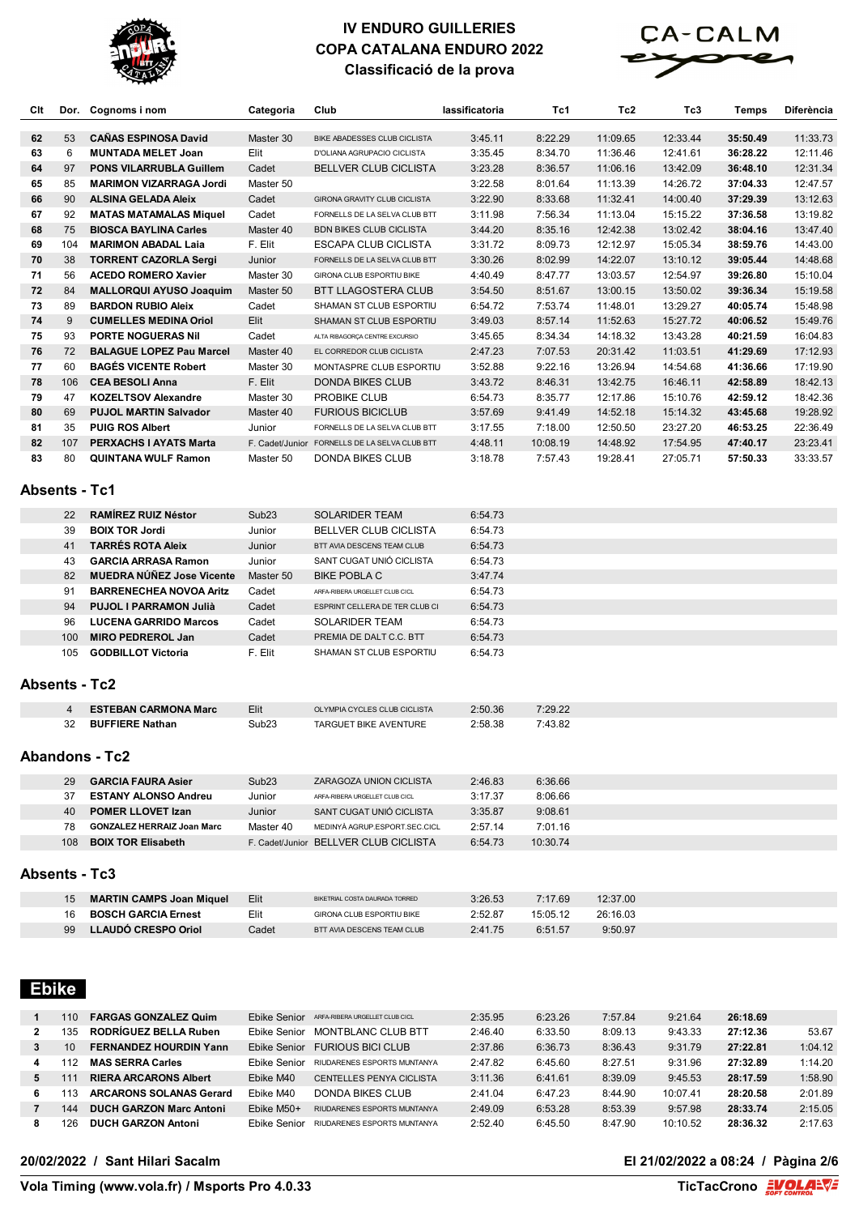



| Clt                  | Dor.           | Cognoms i nom                     | Categoria         | Club                                  | lassificatoria | Tc1      | Tc <sub>2</sub> | Tc3      | Temps    | Diferència |
|----------------------|----------------|-----------------------------------|-------------------|---------------------------------------|----------------|----------|-----------------|----------|----------|------------|
| 62                   | 53             | <b>CANAS ESPINOSA David</b>       | Master 30         | BIKE ABADESSES CLUB CICLISTA          | 3:45.11        | 8:22.29  | 11:09.65        | 12:33.44 | 35:50.49 | 11:33.73   |
| 63                   | 6              | <b>MUNTADA MELET Joan</b>         | Elit              | D'OLIANA AGRUPACIO CICLISTA           | 3:35.45        | 8:34.70  | 11:36.46        | 12:41.61 | 36:28.22 | 12:11.46   |
| 64                   | 97             | <b>PONS VILARRUBLA Guillem</b>    | Cadet             | <b>BELLVER CLUB CICLISTA</b>          | 3:23.28        | 8:36.57  | 11:06.16        | 13:42.09 | 36:48.10 | 12:31.34   |
| 65                   | 85             | <b>MARIMON VIZARRAGA Jordi</b>    | Master 50         |                                       | 3:22.58        | 8:01.64  | 11:13.39        | 14:26.72 | 37:04.33 | 12:47.57   |
| 66                   | 90             | <b>ALSINA GELADA Aleix</b>        | Cadet             | GIRONA GRAVITY CLUB CICLISTA          | 3:22.90        | 8:33.68  | 11:32.41        | 14:00.40 | 37:29.39 | 13:12.63   |
| 67                   | 92             | <b>MATAS MATAMALAS Miquel</b>     | Cadet             | FORNELLS DE LA SELVA CLUB BTT         | 3:11.98        | 7:56.34  | 11:13.04        | 15:15.22 | 37:36.58 | 13:19.82   |
| 68                   | 75             | <b>BIOSCA BAYLINA Carles</b>      | Master 40         | <b>BDN BIKES CLUB CICLISTA</b>        | 3:44.20        | 8:35.16  | 12:42.38        | 13:02.42 | 38:04.16 | 13:47.40   |
| 69                   | 104            | <b>MARIMON ABADAL Laia</b>        | F. Elit           | <b>ESCAPA CLUB CICLISTA</b>           | 3:31.72        | 8:09.73  | 12:12.97        | 15:05.34 | 38:59.76 | 14:43.00   |
| 70                   | 38             | <b>TORRENT CAZORLA Sergi</b>      | Junior            | FORNELLS DE LA SELVA CLUB BTT         | 3:30.26        | 8:02.99  | 14:22.07        | 13:10.12 | 39:05.44 | 14:48.68   |
| 71                   | 56             | <b>ACEDO ROMERO Xavier</b>        | Master 30         | GIRONA CLUB ESPORTIU BIKE             | 4:40.49        | 8:47.77  | 13:03.57        | 12:54.97 | 39:26.80 | 15:10.04   |
| 72                   | 84             | <b>MALLORQUI AYUSO Joaquim</b>    | Master 50         | <b>BTT LLAGOSTERA CLUB</b>            | 3:54.50        | 8:51.67  | 13:00.15        | 13:50.02 | 39:36.34 | 15:19.58   |
| 73                   | 89             | <b>BARDON RUBIO Aleix</b>         | Cadet             | SHAMAN ST CLUB ESPORTIU               | 6:54.72        | 7:53.74  | 11:48.01        | 13:29.27 | 40:05.74 | 15:48.98   |
| 74                   | 9              | <b>CUMELLES MEDINA Oriol</b>      | Elit              | SHAMAN ST CLUB ESPORTIU               | 3:49.03        | 8:57.14  | 11:52.63        | 15:27.72 | 40:06.52 | 15:49.76   |
| 75                   | 93             | <b>PORTE NOGUERAS Nil</b>         | Cadet             | ALTA RIBAGORÇA CENTRE EXCURSIO        | 3:45.65        | 8:34.34  | 14:18.32        | 13:43.28 | 40:21.59 | 16:04.83   |
| 76                   | 72             | <b>BALAGUE LOPEZ Pau Marcel</b>   | Master 40         | EL CORREDOR CLUB CICLISTA             | 2:47.23        | 7:07.53  | 20:31.42        | 11:03.51 | 41:29.69 | 17:12.93   |
| 77                   | 60             | <b>BAGES VICENTE Robert</b>       | Master 30         | MONTASPRE CLUB ESPORTIU               | 3:52.88        | 9:22.16  | 13:26.94        | 14:54.68 | 41:36.66 | 17:19.90   |
| 78                   | 106            | <b>CEA BESOLI Anna</b>            | F. Elit           | <b>DONDA BIKES CLUB</b>               | 3:43.72        | 8:46.31  | 13:42.75        | 16:46.11 | 42:58.89 | 18:42.13   |
| 79                   | 47             | <b>KOZELTSOV Alexandre</b>        | Master 30         | PROBIKE CLUB                          | 6:54.73        | 8:35.77  | 12:17.86        | 15:10.76 | 42:59.12 | 18:42.36   |
| 80                   | 69             | <b>PUJOL MARTIN Salvador</b>      | Master 40         | <b>FURIOUS BICICLUB</b>               | 3:57.69        | 9:41.49  | 14:52.18        | 15:14.32 | 43:45.68 | 19:28.92   |
| 81                   | 35             | <b>PUIG ROS Albert</b>            | Junior            | FORNELLS DE LA SELVA CLUB BTT         | 3:17.55        | 7:18.00  | 12:50.50        | 23:27.20 | 46:53.25 | 22:36.49   |
| 82                   | 107            | <b>PERXACHS I AYATS Marta</b>     | F. Cadet/Junior   | FORNELLS DE LA SELVA CLUB BTT         | 4:48.11        | 10:08.19 | 14:48.92        | 17:54.95 | 47:40.17 | 23:23.41   |
| 83                   | 80             | <b>QUINTANA WULF Ramon</b>        | Master 50         | <b>DONDA BIKES CLUB</b>               | 3:18.78        | 7:57.43  | 19:28.41        | 27:05.71 | 57:50.33 | 33:33.57   |
| <b>Absents - Tc1</b> |                |                                   |                   |                                       |                |          |                 |          |          |            |
|                      | 22             | <b>RAMÍREZ RUIZ Néstor</b>        | Sub <sub>23</sub> | <b>SOLARIDER TEAM</b>                 | 6:54.73        |          |                 |          |          |            |
|                      | 39             | <b>BOIX TOR Jordi</b>             | Junior            | BELLVER CLUB CICLISTA                 | 6:54.73        |          |                 |          |          |            |
|                      | 41             | <b>TARRÉS ROTA Aleix</b>          | Junior            | BTT AVIA DESCENS TEAM CLUB            | 6:54.73        |          |                 |          |          |            |
|                      | 43             | <b>GARCIA ARRASA Ramon</b>        | Junior            | SANT CUGAT UNIÓ CICLISTA              | 6:54.73        |          |                 |          |          |            |
|                      | 82             | <b>MUEDRA NÜNEZ Jose Vicente</b>  | Master 50         | <b>BIKE POBLA C</b>                   | 3:47.74        |          |                 |          |          |            |
|                      | 91             | <b>BARRENECHEA NOVOA Aritz</b>    | Cadet             | ARFA-RIBERA URGELLET CLUB CICL        | 6:54.73        |          |                 |          |          |            |
|                      | 94             | PUJOL I PARRAMON Julià            | Cadet             | ESPRINT CELLERA DE TER CLUB CI        | 6:54.73        |          |                 |          |          |            |
|                      | 96             | <b>LUCENA GARRIDO Marcos</b>      | Cadet             | <b>SOLARIDER TEAM</b>                 | 6:54.73        |          |                 |          |          |            |
|                      | 100            | <b>MIRO PEDREROL Jan</b>          | Cadet             | PREMIA DE DALT C.C. BTT               | 6:54.73        |          |                 |          |          |            |
| <b>Absents - Tc2</b> | 105            | <b>GODBILLOT Victoria</b>         | F. Elit           | SHAMAN ST CLUB ESPORTIU               | 6:54.73        |          |                 |          |          |            |
|                      |                |                                   |                   |                                       |                |          |                 |          |          |            |
|                      | $\overline{4}$ | <b>ESTEBAN CARMONA Marc</b>       | Elit              | OLYMPIA CYCLES CLUB CICLISTA          | 2:50.36        | 7:29.22  |                 |          |          |            |
|                      | 32             | <b>BUFFIERE Nathan</b>            | Sub <sub>23</sub> | <b>TARGUET BIKE AVENTURE</b>          | 2:58.38        | 7:43.82  |                 |          |          |            |
|                      |                | <b>Abandons - Tc2</b>             |                   |                                       |                |          |                 |          |          |            |
|                      | 29             | <b>GARCIA FAURA Asier</b>         | Sub <sub>23</sub> | ZARAGOZA UNION CICLISTA               | 2:46.83        | 6:36.66  |                 |          |          |            |
|                      | 37             | <b>ESTANY ALONSO Andreu</b>       | Junior            | ARFA-RIBERA URGELLET CLUB CICL        | 3:17.37        | 8:06.66  |                 |          |          |            |
|                      | 40             | <b>POMER LLOVET Izan</b>          | Junior            | SANT CUGAT UNIÓ CICLISTA              | 3:35.87        | 9:08.61  |                 |          |          |            |
|                      | 78             | <b>GONZALEZ HERRAIZ Joan Marc</b> | Master 40         | MEDINYÀ AGRUP.ESPORT.SEC.CICL         | 2:57.14        | 7:01.16  |                 |          |          |            |
|                      | 108            | <b>BOIX TOR Elisabeth</b>         |                   | F. Cadet/Junior BELLVER CLUB CICLISTA | 6:54.73        | 10:30.74 |                 |          |          |            |
| <b>Absents - Tc3</b> |                |                                   |                   |                                       |                |          |                 |          |          |            |

| 1 <sub>5</sub> | <b>MARTIN CAMPS Joan Miquel</b> | Elit  | BIKETRIAL COSTA DAURADA TORRED | 3:26.53 | 7:17.69  | 12:37.00 |
|----------------|---------------------------------|-------|--------------------------------|---------|----------|----------|
| 16             | <b>BOSCH GARCIA Ernest</b>      | Elit  | GIRONA CLUB ESPORTIU BIKE      | 2:52.87 | 15:05.12 | 26:16.03 |
| 99             | LLAUDÓ CRESPO Oriol             | Cadet | BTT AVIA DESCENS TEAM CLUB     | 2:41.75 | 6:51.57  | 9:50.97  |

# **Ebike**

П

|    | 110            | <b>FARGAS GONZALEZ Quim</b>    | Ebike Senior        | ARFA-RIBERA URGELLET CLUB CICL | 2:35.95 | 6:23.26 | 7:57.84 | 9:21.64  | 26:18.69 |         |
|----|----------------|--------------------------------|---------------------|--------------------------------|---------|---------|---------|----------|----------|---------|
| 2  | 135            | <b>RODRÍGUEZ BELLA Ruben</b>   | <b>Ebike Senior</b> | MONTBLANC CLUB BTT             | 2:46.40 | 6:33.50 | 8:09.13 | 9:43.33  | 27:12.36 | 53.67   |
|    | 10             | <b>FERNANDEZ HOURDIN Yann</b>  | Fhike Senior        | <b>FURIOUS BICI CLUB</b>       | 2:37.86 | 6:36.73 | 8:36.43 | 9:31.79  | 27:22.81 | 1:04.12 |
| 4  | $\overline{A}$ | <b>MAS SERRA Carles</b>        | <b>Ebike Senior</b> | RIUDARENES ESPORTS MUNTANYA    | 2:47.82 | 6:45.60 | 8:27.51 | 9:31.96  | 27:32.89 | 1:14.20 |
| 5. |                | <b>RIERA ARCARONS Albert</b>   | Ebike M40           | CENTELLES PENYA CICLISTA       | 3:11.36 | 6:41.61 | 8:39.09 | 9:45.53  | 28:17.59 | 1:58.90 |
| 6  |                | <b>ARCARONS SOLANAS Gerard</b> | Ebike M40           | DONDA BIKES CLUB               | 2:41.04 | 6:47.23 | 8:44.90 | 10:07.41 | 28:20.58 | 2:01.89 |
|    | 144            | <b>DUCH GARZON Marc Antoni</b> | Ebike M50+          | RIUDARENES ESPORTS MUNTANYA    | 2:49.09 | 6:53.28 | 8:53.39 | 9:57.98  | 28:33.74 | 2:15.05 |
| 8  | 26             | <b>DUCH GARZON Antoni</b>      | Ebike Senior        | RIUDARENES ESPORTS MUNTANYA    | 2:52.40 | 6:45.50 | 8:47.90 | 10:10.52 | 28:36.32 | 2:17.63 |

#### **20/02/2022 / Sant Hilari Sacalm El 21/02/2022 a 08:24 / Pàgina 2/6**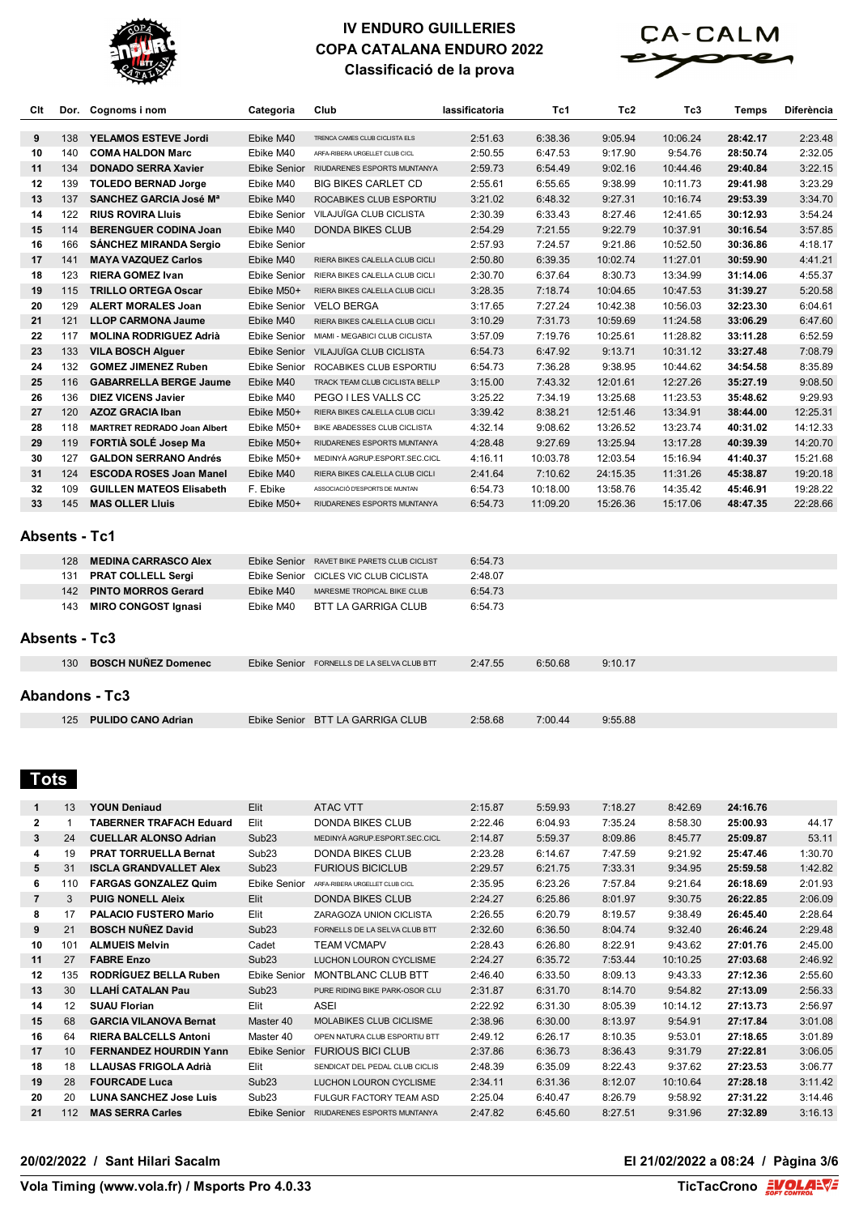



| Clt |                      | Dor. Cognoms i nom                 | Categoria           | Club                                       | lassificatoria | Tc1      | Tc2      | Tc3      | <b>Temps</b> | <b>Diferència</b> |
|-----|----------------------|------------------------------------|---------------------|--------------------------------------------|----------------|----------|----------|----------|--------------|-------------------|
| 9   | 138                  | <b>YELAMOS ESTEVE Jordi</b>        | Ebike M40           | TRENCA CAMES CLUB CICLISTA ELS             | 2:51.63        | 6:38.36  | 9:05.94  | 10:06.24 | 28:42.17     | 2:23.48           |
| 10  | 140                  | <b>COMA HALDON Marc</b>            | Ebike M40           | ARFA-RIBERA URGELLET CLUB CICL             | 2:50.55        | 6:47.53  | 9:17.90  | 9:54.76  | 28:50.74     | 2:32.05           |
| 11  | 134                  | <b>DONADO SERRA Xavier</b>         | Ebike Senior        | RIUDARENES ESPORTS MUNTANYA                | 2:59.73        | 6:54.49  | 9:02.16  | 10:44.46 | 29:40.84     | 3:22.15           |
| 12  | 139                  | <b>TOLEDO BERNAD Jorge</b>         | Ebike M40           | BIG BIKES CARLET CD                        | 2:55.61        | 6:55.65  | 9:38.99  | 10:11.73 | 29:41.98     | 3:23.29           |
| 13  | 137                  | SANCHEZ GARCIA José Mª             | Ebike M40           | ROCABIKES CLUB ESPORTIU                    | 3:21.02        | 6:48.32  | 9:27.31  | 10:16.74 | 29:53.39     | 3:34.70           |
| 14  | 122                  | <b>RIUS ROVIRA LIUIS</b>           | Ebike Senior        | VILAJUÏGA CLUB CICLISTA                    | 2:30.39        | 6:33.43  | 8:27.46  | 12:41.65 | 30:12.93     | 3:54.24           |
| 15  | 114                  | <b>BERENGUER CODINA Joan</b>       | Ebike M40           | <b>DONDA BIKES CLUB</b>                    | 2:54.29        | 7:21.55  | 9:22.79  | 10:37.91 | 30:16.54     | 3:57.85           |
| 16  | 166                  | <b>SANCHEZ MIRANDA Sergio</b>      | <b>Ebike Senior</b> |                                            | 2:57.93        | 7:24.57  | 9:21.86  | 10:52.50 | 30:36.86     | 4:18.17           |
| 17  | 141                  | <b>MAYA VAZQUEZ Carlos</b>         | Ebike M40           | RIERA BIKES CALELLA CLUB CICLI             | 2:50.80        | 6:39.35  | 10:02.74 | 11:27.01 | 30:59.90     | 4:41.21           |
| 18  | 123                  | <b>RIERA GOMEZ Ivan</b>            | Ebike Senior        | RIERA BIKES CALELLA CLUB CICLI             | 2:30.70        | 6:37.64  | 8:30.73  | 13:34.99 | 31:14.06     | 4:55.37           |
| 19  | 115                  | <b>TRILLO ORTEGA Oscar</b>         | Ebike M50+          | RIERA BIKES CALELLA CLUB CICLI             | 3:28.35        | 7:18.74  | 10:04.65 | 10:47.53 | 31:39.27     | 5:20.58           |
| 20  | 129                  | <b>ALERT MORALES Joan</b>          | Ebike Senior        | <b>VELO BERGA</b>                          | 3:17.65        | 7:27.24  | 10:42.38 | 10:56.03 | 32:23.30     | 6:04.61           |
| 21  | 121                  | <b>LLOP CARMONA Jaume</b>          | Ebike M40           | RIERA BIKES CALELLA CLUB CICLI             | 3:10.29        | 7:31.73  | 10:59.69 | 11:24.58 | 33:06.29     | 6:47.60           |
| 22  | 117                  | <b>MOLINA RODRIGUEZ Adrià</b>      | <b>Ebike Senior</b> | MIAMI - MEGABICI CLUB CICLISTA             | 3:57.09        | 7:19.76  | 10:25.61 | 11:28.82 | 33:11.28     | 6:52.59           |
| 23  | 133                  | <b>VILA BOSCH Alguer</b>           | Ebike Senior        | VILAJUÏGA CLUB CICLISTA                    | 6:54.73        | 6:47.92  | 9:13.71  | 10:31.12 | 33:27.48     | 7:08.79           |
| 24  | 132                  | <b>GOMEZ JIMENEZ Ruben</b>         | Ebike Senior        | ROCABIKES CLUB ESPORTIU                    | 6:54.73        | 7:36.28  | 9:38.95  | 10:44.62 | 34:54.58     | 8:35.89           |
| 25  | 116                  | <b>GABARRELLA BERGE Jaume</b>      | Ebike M40           | TRACK TEAM CLUB CICLISTA BELLP             | 3:15.00        | 7:43.32  | 12:01.61 | 12:27.26 | 35:27.19     | 9:08.50           |
| 26  | 136                  | <b>DIEZ VICENS Javier</b>          | Ebike M40           | PEGO I LES VALLS CC                        | 3:25.22        | 7:34.19  | 13:25.68 | 11:23.53 | 35:48.62     | 9:29.93           |
| 27  | 120                  | <b>AZOZ GRACIA Iban</b>            | Ebike M50+          | RIERA BIKES CALELLA CLUB CICLI             | 3:39.42        | 8:38.21  | 12:51.46 | 13:34.91 | 38:44.00     | 12:25.31          |
| 28  | 118                  | <b>MARTRET REDRADO Joan Albert</b> | Ebike M50+          | BIKE ABADESSES CLUB CICLISTA               | 4:32.14        | 9:08.62  | 13:26.52 | 13:23.74 | 40:31.02     | 14:12.33          |
| 29  | 119                  | FORTIA SOLÉ Josep Ma               | Ebike M50+          | RIUDARENES ESPORTS MUNTANYA                | 4:28.48        | 9:27.69  | 13:25.94 | 13:17.28 | 40:39.39     | 14:20.70          |
| 30  | 127                  | <b>GALDON SERRANO Andrés</b>       | Ebike M50+          | MEDINYÀ AGRUP.ESPORT.SEC.CICL              | 4:16.11        | 10:03.78 | 12:03.54 | 15:16.94 | 41:40.37     | 15:21.68          |
| 31  | 124                  | <b>ESCODA ROSES Joan Manel</b>     | Ebike M40           | RIERA BIKES CALELLA CLUB CICLI             | 2:41.64        | 7:10.62  | 24:15.35 | 11:31.26 | 45:38.87     | 19:20.18          |
| 32  | 109                  | <b>GUILLEN MATEOS Elisabeth</b>    | F. Ebike            | ASSOCIACIÓ D'ESPORTS DE MUNTAN             | 6:54.73        | 10:18.00 | 13:58.76 | 14:35.42 | 45:46.91     | 19:28.22          |
| 33  | 145                  | <b>MAS OLLER Lluis</b>             | Ebike M50+          | RIUDARENES ESPORTS MUNTANYA                | 6:54.73        | 11:09.20 | 15:26.36 | 15:17.06 | 48:47.35     | 22:28.66          |
|     | <b>Absents - Tc1</b> |                                    |                     |                                            |                |          |          |          |              |                   |
|     | 128                  | <b>MEDINA CARRASCO Alex</b>        | Ebike Senior        | RAVET BIKE PARETS CLUB CICLIST             | 6:54.73        |          |          |          |              |                   |
|     | 131                  | <b>PRAT COLLELL Sergi</b>          | Ebike Senior        | CICLES VIC CLUB CICLISTA                   | 2:48.07        |          |          |          |              |                   |
|     | 142                  | <b>PINTO MORROS Gerard</b>         | Ebike M40           | MARESME TROPICAL BIKE CLUB                 | 6:54.73        |          |          |          |              |                   |
|     | 143                  | <b>MIRO CONGOST Ignasi</b>         | Ebike M40           | <b>BTT LA GARRIGA CLUB</b>                 | 6:54.73        |          |          |          |              |                   |
|     |                      | <b>Absents - Tc3</b>               |                     |                                            |                |          |          |          |              |                   |
|     | 130                  | <b>BOSCH NUNEZ Domenec</b>         |                     | Ebike Senior FORNELLS DE LA SELVA CLUB BTT | 2:47.55        | 6:50.68  | 9:10.17  |          |              |                   |
|     |                      | <b>Abandons - Tc3</b>              |                     |                                            |                |          |          |          |              |                   |
|     | 125                  | <b>PULIDO CANO Adrian</b>          |                     | Ebike Senior BTT LA GARRIGA CLUB           | 2:58.68        | 7:00.44  | 9:55.88  |          |              |                   |

# **Tots**

| $\mathbf{1}$   | 13  | <b>YOUN Deniaud</b>            | Elit                | <b>ATAC VTT</b>                | 2:15.87 | 5:59.93 | 7:18.27 | 8:42.69  | 24:16.76 |         |
|----------------|-----|--------------------------------|---------------------|--------------------------------|---------|---------|---------|----------|----------|---------|
| $\mathbf{2}$   |     | <b>TABERNER TRAFACH Eduard</b> | Elit                | DONDA BIKES CLUB               | 2:22.46 | 6:04.93 | 7:35.24 | 8:58.30  | 25:00.93 | 44.17   |
| 3              | 24  | <b>CUELLAR ALONSO Adrian</b>   | Sub <sub>23</sub>   | MEDINYÀ AGRUP.ESPORT.SEC.CICL  | 2:14.87 | 5:59.37 | 8:09.86 | 8:45.77  | 25:09.87 | 53.11   |
| 4              | 19  | <b>PRAT TORRUELLA Bernat</b>   | Sub <sub>23</sub>   | <b>DONDA BIKES CLUB</b>        | 2:23.28 | 6:14.67 | 7:47.59 | 9:21.92  | 25:47.46 | 1:30.70 |
| 5              | 31  | <b>ISCLA GRANDVALLET Alex</b>  | Sub <sub>23</sub>   | <b>FURIOUS BICICLUB</b>        | 2:29.57 | 6:21.75 | 7:33.31 | 9:34.95  | 25:59.58 | 1:42.82 |
| 6              | 110 | <b>FARGAS GONZALEZ Quim</b>    | Ebike Senior        | ARFA-RIBERA URGELLET CLUB CICL | 2:35.95 | 6:23.26 | 7:57.84 | 9:21.64  | 26:18.69 | 2:01.93 |
| $\overline{7}$ | 3   | <b>PUIG NONELL Aleix</b>       | Elit                | <b>DONDA BIKES CLUB</b>        | 2:24.27 | 6:25.86 | 8:01.97 | 9:30.75  | 26:22.85 | 2:06.09 |
| 8              | 17  | <b>PALACIO FUSTERO Mario</b>   | Elit                | ZARAGOZA UNION CICLISTA        | 2:26.55 | 6:20.79 | 8:19.57 | 9:38.49  | 26:45.40 | 2:28.64 |
| 9              | 21  | <b>BOSCH NUÑEZ David</b>       | Sub <sub>23</sub>   | FORNELLS DE LA SELVA CLUB BTT  | 2:32.60 | 6:36.50 | 8:04.74 | 9:32.40  | 26:46.24 | 2:29.48 |
| 10             | 101 | <b>ALMUEIS Melvin</b>          | Cadet               | TEAM VCMAPV                    | 2:28.43 | 6:26.80 | 8:22.91 | 9:43.62  | 27:01.76 | 2:45.00 |
| 11             | 27  | <b>FABRE Enzo</b>              | Sub <sub>23</sub>   | LUCHON LOURON CYCLISME         | 2:24.27 | 6:35.72 | 7:53.44 | 10:10.25 | 27:03.68 | 2:46.92 |
| 12             | 135 | <b>RODRIGUEZ BELLA Ruben</b>   | <b>Ebike Senior</b> | MONTBLANC CLUB BTT             | 2:46.40 | 6:33.50 | 8:09.13 | 9:43.33  | 27:12.36 | 2:55.60 |
| 13             | 30  | <b>LLAHÍ CATALAN Pau</b>       | Sub <sub>23</sub>   | PURE RIDING BIKE PARK-OSOR CLU | 2:31.87 | 6:31.70 | 8:14.70 | 9:54.82  | 27:13.09 | 2:56.33 |
| 14             | 12  | <b>SUAU Florian</b>            | Elit                | <b>ASEI</b>                    | 2:22.92 | 6:31.30 | 8:05.39 | 10:14.12 | 27:13.73 | 2:56.97 |
| 15             | 68  | <b>GARCIA VILANOVA Bernat</b>  | Master 40           | MOLABIKES CLUB CICLISME        | 2:38.96 | 6:30.00 | 8:13.97 | 9:54.91  | 27:17.84 | 3:01.08 |
| 16             | 64  | <b>RIERA BALCELLS Antoni</b>   | Master 40           | OPEN NATURA CLUB ESPORTIU BTT  | 2:49.12 | 6:26.17 | 8:10.35 | 9:53.01  | 27:18.65 | 3:01.89 |
| 17             | 10  | <b>FERNANDEZ HOURDIN Yann</b>  | <b>Ebike Senior</b> | <b>FURIOUS BICLCLUB</b>        | 2:37.86 | 6:36.73 | 8:36.43 | 9:31.79  | 27:22.81 | 3:06.05 |
| 18             | 18  | LLAUSAS FRIGOLA Adrià          | Elit                | SENDICAT DEL PEDAL CLUB CICLIS | 2:48.39 | 6:35.09 | 8:22.43 | 9:37.62  | 27:23.53 | 3:06.77 |
| 19             | 28  | <b>FOURCADE Luca</b>           | Sub <sub>23</sub>   | LUCHON LOURON CYCLISME         | 2:34.11 | 6:31.36 | 8:12.07 | 10:10.64 | 27:28.18 | 3:11.42 |
| 20             | 20  | <b>LUNA SANCHEZ Jose Luis</b>  | Sub <sub>23</sub>   | FULGUR FACTORY TEAM ASD        | 2:25.04 | 6:40.47 | 8:26.79 | 9:58.92  | 27:31.22 | 3:14.46 |
| 21             | 112 | <b>MAS SERRA Carles</b>        | <b>Ebike Senior</b> | RIUDARENES ESPORTS MUNTANYA    | 2:47.82 | 6:45.60 | 8:27.51 | 9:31.96  | 27:32.89 | 3:16.13 |

#### **20/02/2022 / Sant Hilari Sacalm El 21/02/2022 a 08:24 / Pàgina 3/6**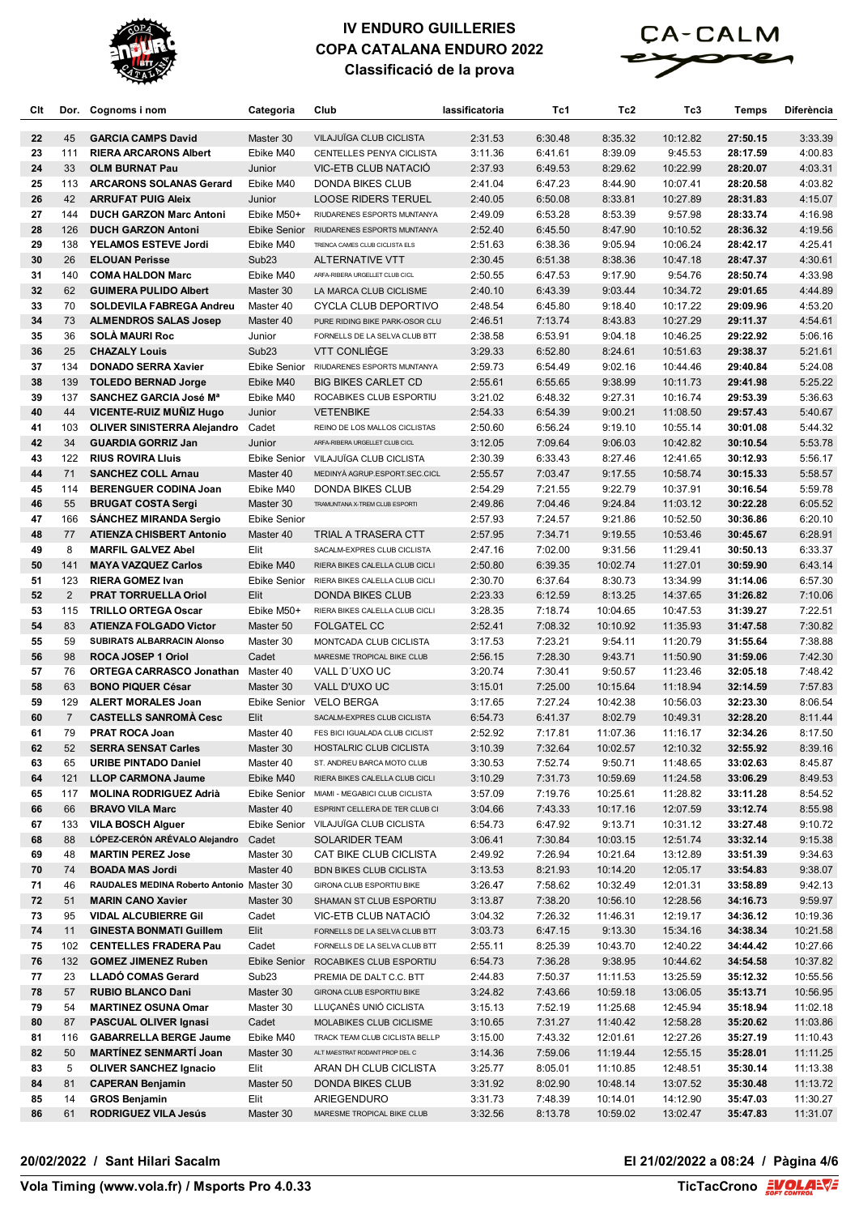



| Clt      |                | Dor. Cognoms i nom                                                  | Categoria           | Club                                                            | lassificatoria     | Tc1                | Tc2                  | Tc3                  | Temps                | <b>Diferència</b>  |
|----------|----------------|---------------------------------------------------------------------|---------------------|-----------------------------------------------------------------|--------------------|--------------------|----------------------|----------------------|----------------------|--------------------|
| 22       | 45             | <b>GARCIA CAMPS David</b>                                           | Master 30           | VILAJUÏGA CLUB CICLISTA                                         | 2:31.53            | 6:30.48            | 8:35.32              | 10:12.82             | 27:50.15             | 3:33.39            |
| 23       | 111            | <b>RIERA ARCARONS Albert</b>                                        | Ebike M40           | CENTELLES PENYA CICLISTA                                        | 3:11.36            | 6:41.61            | 8:39.09              | 9:45.53              | 28:17.59             | 4:00.83            |
| 24       | 33             | <b>OLM BURNAT Pau</b>                                               | Junior              | VIC-ETB CLUB NATACIO                                            | 2:37.93            | 6:49.53            | 8:29.62              | 10:22.99             | 28:20.07             | 4:03.31            |
| 25       | 113            | <b>ARCARONS SOLANAS Gerard</b>                                      | Ebike M40           | <b>DONDA BIKES CLUB</b>                                         | 2:41.04            | 6:47.23            | 8:44.90              | 10:07.41             | 28:20.58             | 4:03.82            |
| 26       | 42             | <b>ARRUFAT PUIG Aleix</b>                                           | Junior              | <b>LOOSE RIDERS TERUEL</b>                                      | 2:40.05            | 6:50.08            | 8:33.81              | 10:27.89             | 28:31.83             | 4:15.07            |
| 27       | 144            | <b>DUCH GARZON Marc Antoni</b>                                      | Ebike M50+          | RIUDARENES ESPORTS MUNTANYA                                     | 2:49.09            | 6:53.28            | 8:53.39              | 9:57.98              | 28:33.74             | 4:16.98            |
| 28       | 126            | <b>DUCH GARZON Antoni</b>                                           |                     | Ebike Senior RIUDARENES ESPORTS MUNTANYA                        | 2:52.40            | 6:45.50            | 8:47.90              | 10:10.52             | 28:36.32             | 4:19.56            |
| 29       | 138            | YELAMOS ESTEVE Jordi                                                | Ebike M40           | TRENCA CAMES CLUB CICLISTA ELS                                  | 2:51.63            | 6:38.36            | 9:05.94              | 10:06.24             | 28:42.17             | 4:25.41            |
| 30       | 26             | <b>ELOUAN Perisse</b>                                               | Sub <sub>23</sub>   | <b>ALTERNATIVE VTT</b>                                          | 2:30.45            | 6:51.38            | 8:38.36              | 10:47.18             | 28:47.37             | 4:30.61            |
| 31       | 140            | <b>COMA HALDON Marc</b>                                             | Ebike M40           | ARFA-RIBERA URGELLET CLUB CICL                                  | 2:50.55            | 6:47.53            | 9:17.90              | 9:54.76              | 28:50.74             | 4:33.98            |
| 32       | 62             | <b>GUIMERA PULIDO Albert</b>                                        | Master 30           | LA MARCA CLUB CICLISME                                          | 2:40.10            | 6:43.39            | 9:03.44              | 10:34.72             | 29:01.65             | 4:44.89            |
| 33<br>34 | 70<br>73       | <b>SOLDEVILA FABREGA Andreu</b>                                     | Master 40           | CYCLA CLUB DEPORTIVO                                            | 2:48.54<br>2:46.51 | 6:45.80            | 9:18.40              | 10:17.22<br>10:27.29 | 29:09.96             | 4:53.20            |
| 35       | 36             | <b>ALMENDROS SALAS Josep</b><br><b>SOLA MAURI Roc</b>               | Master 40<br>Junior | PURE RIDING BIKE PARK-OSOR CLU<br>FORNELLS DE LA SELVA CLUB BTT | 2:38.58            | 7:13.74<br>6:53.91 | 8:43.83<br>9:04.18   | 10:46.25             | 29:11.37<br>29:22.92 | 4:54.61<br>5:06.16 |
| 36       | 25             | <b>CHAZALY Louis</b>                                                | Sub <sub>23</sub>   | <b>VTT CONLIÈGE</b>                                             | 3:29.33            | 6:52.80            | 8:24.61              | 10:51.63             | 29:38.37             | 5:21.61            |
| 37       | 134            | <b>DONADO SERRA Xavier</b>                                          |                     | Ebike Senior RIUDARENES ESPORTS MUNTANYA                        | 2:59.73            | 6:54.49            | 9:02.16              | 10:44.46             | 29:40.84             | 5:24.08            |
| 38       | 139            | <b>TOLEDO BERNAD Jorge</b>                                          | Ebike M40           | <b>BIG BIKES CARLET CD</b>                                      | 2:55.61            | 6:55.65            | 9:38.99              | 10:11.73             | 29:41.98             | 5:25.22            |
| 39       | 137            | <b>SANCHEZ GARCIA José Mª</b>                                       | Ebike M40           | ROCABIKES CLUB ESPORTIU                                         | 3:21.02            | 6:48.32            | 9:27.31              | 10:16.74             | 29:53.39             | 5:36.63            |
| 40       | 44             | <b>VICENTE-RUIZ MUNIZ Hugo</b>                                      | Junior              | <b>VETENBIKE</b>                                                | 2:54.33            | 6:54.39            | 9:00.21              | 11:08.50             | 29:57.43             | 5:40.67            |
| 41       | 103            | <b>OLIVER SINISTERRA Alejandro</b> Cadet                            |                     | REINO DE LOS MALLOS CICLISTAS                                   | 2:50.60            | 6:56.24            | 9:19.10              | 10:55.14             | 30:01.08             | 5:44.32            |
| 42       | 34             | <b>GUARDIA GORRIZ Jan</b>                                           | Junior              | ARFA-RIBERA URGELLET CLUB CICL                                  | 3:12.05            | 7:09.64            | 9:06.03              | 10:42.82             | 30:10.54             | 5:53.78            |
| 43       | 122            | <b>RIUS ROVIRA Lluis</b>                                            |                     | Ebike Senior VILAJUÏGA CLUB CICLISTA                            | 2:30.39            | 6:33.43            | 8:27.46              | 12:41.65             | 30:12.93             | 5:56.17            |
| 44       | 71             | <b>SANCHEZ COLL Arnau</b>                                           | Master 40           | MEDINYÀ AGRUP.ESPORT.SEC.CICL                                   | 2:55.57            | 7:03.47            | 9:17.55              | 10:58.74             | 30:15.33             | 5:58.57            |
| 45       | 114            | <b>BERENGUER CODINA Joan</b>                                        | Ebike M40           | DONDA BIKES CLUB                                                | 2:54.29            | 7:21.55            | 9:22.79              | 10:37.91             | 30:16.54             | 5:59.78            |
| 46       | 55             | <b>BRUGAT COSTA Sergi</b>                                           | Master 30           | TRAMUNTANA X-TREM CLUB ESPORTI                                  | 2:49.86            | 7:04.46            | 9:24.84              | 11:03.12             | 30:22.28             | 6:05.52            |
| 47       | 166            | <b>SANCHEZ MIRANDA Sergio</b>                                       | <b>Ebike Senior</b> |                                                                 | 2:57.93            | 7:24.57            | 9:21.86              | 10:52.50             | 30:36.86             | 6:20.10            |
| 48       | 77             | <b>ATIENZA CHISBERT Antonio</b>                                     | Master 40           | TRIAL A TRASERA CTT                                             | 2:57.95            | 7:34.71            | 9:19.55              | 10:53.46             | 30:45.67             | 6:28.91            |
| 49       | 8              | <b>MARFIL GALVEZ Abel</b>                                           | Elit                | SACALM-EXPRES CLUB CICLISTA                                     | 2:47.16            | 7:02.00            | 9:31.56              | 11:29.41             | 30:50.13             | 6:33.37            |
| 50       | 141            | <b>MAYA VAZQUEZ Carlos</b>                                          | Ebike M40           | RIERA BIKES CALELLA CLUB CICLI                                  | 2:50.80            | 6:39.35            | 10:02.74             | 11:27.01             | 30:59.90             | 6:43.14            |
| 51       | 123            | <b>RIERA GOMEZ Ivan</b>                                             | <b>Ebike Senior</b> | RIERA BIKES CALELLA CLUB CICLI                                  | 2:30.70            | 6:37.64            | 8:30.73              | 13:34.99             | 31:14.06             | 6:57.30            |
| 52<br>53 | 2<br>115       | <b>PRAT TORRUELLA Oriol</b>                                         | Elit<br>Ebike M50+  | <b>DONDA BIKES CLUB</b>                                         | 2:23.33            | 6:12.59            | 8:13.25              | 14:37.65             | 31:26.82             | 7:10.06            |
| 54       | 83             | <b>TRILLO ORTEGA Oscar</b><br><b>ATIENZA FOLGADO Victor</b>         | Master 50           | RIERA BIKES CALELLA CLUB CICLI<br><b>FOLGATEL CC</b>            | 3:28.35<br>2:52.41 | 7:18.74<br>7:08.32 | 10:04.65<br>10:10.92 | 10:47.53<br>11:35.93 | 31:39.27<br>31:47.58 | 7:22.51<br>7:30.82 |
| 55       | 59             | <b>SUBIRATS ALBARRACIN Alonso</b>                                   | Master 30           | MONTCADA CLUB CICLISTA                                          | 3:17.53            | 7:23.21            | 9:54.11              | 11:20.79             | 31:55.64             | 7:38.88            |
| 56       | 98             | ROCA JOSEP 1 Oriol                                                  | Cadet               | MARESME TROPICAL BIKE CLUB                                      | 2:56.15            | 7:28.30            | 9:43.71              | 11:50.90             | 31:59.06             | 7:42.30            |
| 57       | 76             | <b>ORTEGA CARRASCO Jonathan</b> Master 40                           |                     | VALL D'UXO UC                                                   | 3:20.74            | 7:30.41            | 9:50.57              | 11:23.46             | 32:05.18             | 7:48.42            |
| 58       | 63             | <b>BONO PIQUER César</b>                                            | Master 30           | VALL D'UXO UC                                                   | 3:15.01            | 7:25.00            | 10:15.64             | 11:18.94             | 32:14.59             | 7:57.83            |
| 59       | 129            | <b>ALERT MORALES Joan</b>                                           | <b>Ebike Senior</b> | <b>VELO BERGA</b>                                               | 3:17.65            | 7:27.24            | 10:42.38             | 10:56.03             | 32:23.30             | 8:06.54            |
| 60       | $\overline{7}$ | <b>CASTELLS SANROMA Cesc</b>                                        | Elit                | SACALM-EXPRES CLUB CICLISTA                                     | 6:54.73            | 6:41.37            | 8:02.79              | 10:49.31             | 32:28.20             | 8:11.44            |
| 61       | 79             | <b>PRAT ROCA Joan</b>                                               | Master 40           | FES BICI IGUALADA CLUB CICLIST                                  | 2:52.92            | 7:17.81            | 11:07.36             | 11:16.17             | 32:34.26             | 8:17.50            |
| 62       |                | 52 SERRA SENSAT Carles                                              | Master 30           | HOSTALRIC CLUB CICLISTA                                         | 3:10.39            | 7:32.64            | 10:02.57             | 12:10.32             | 32:55.92             | 8:39.16            |
| 63       | 65             | <b>URIBE PINTADO Daniel</b>                                         | Master 40           | ST. ANDREU BARCA MOTO CLUB                                      | 3:30.53            | 7:52.74            | 9:50.71              | 11:48.65             | 33:02.63             | 8:45.87            |
| 64       | 121            | <b>LLOP CARMONA Jaume</b>                                           | Ebike M40           | RIERA BIKES CALELLA CLUB CICLI                                  | 3:10.29            | 7:31.73            | 10:59.69             | 11:24.58             | 33:06.29             | 8:49.53            |
| 65       | 117            | <b>MOLINA RODRIGUEZ Adrià</b>                                       |                     | Ebike Senior MIAMI - MEGABICI CLUB CICLISTA                     | 3:57.09            | 7:19.76            | 10:25.61             | 11:28.82             | 33:11.28             | 8:54.52            |
| 66       | 66             | <b>BRAVO VILA Marc</b>                                              | Master 40           | ESPRINT CELLERA DE TER CLUB CI                                  | 3:04.66            | 7:43.33            | 10:17.16             | 12:07.59             | 33:12.74             | 8:55.98            |
| 67       | 133            | <b>VILA BOSCH Alguer</b>                                            |                     | Ebike Senior VILAJUÏGA CLUB CICLISTA                            | 6:54.73            | 6:47.92            | 9:13.71              | 10:31.12             | 33:27.48             | 9:10.72            |
| 68       | 88             | LÓPEZ-CERÓN ARÉVALO Alejandro                                       | Cadet               | <b>SOLARIDER TEAM</b>                                           | 3:06.41            | 7:30.84            | 10:03.15             | 12:51.74             | 33:32.14             | 9:15.38            |
| 69       | 48<br>74       | <b>MARTIN PEREZ Jose</b>                                            | Master 30           | CAT BIKE CLUB CICLISTA                                          | 2:49.92            | 7:26.94            | 10:21.64             | 13:12.89             | 33:51.39             | 9:34.63<br>9:38.07 |
| 70<br>71 | 46             | <b>BOADA MAS Jordi</b><br>RAUDALES MEDINA Roberto Antonio Master 30 | Master 40           | <b>BDN BIKES CLUB CICLISTA</b><br>GIRONA CLUB ESPORTIU BIKE     | 3:13.53<br>3:26.47 | 8:21.93<br>7:58.62 | 10:14.20<br>10:32.49 | 12:05.17<br>12:01.31 | 33:54.83<br>33:58.89 | 9:42.13            |
| 72       | 51             | <b>MARIN CANO Xavier</b>                                            | Master 30           | SHAMAN ST CLUB ESPORTIU                                         | 3:13.87            | 7:38.20            | 10:56.10             | 12:28.56             | 34:16.73             | 9:59.97            |
| 73       | 95             | <b>VIDAL ALCUBIERRE Gil</b>                                         | Cadet               | VIC-ETB CLUB NATACIÓ                                            | 3:04.32            | 7:26.32            | 11:46.31             | 12:19.17             | 34:36.12             | 10:19.36           |
| 74       | 11             | <b>GINESTA BONMATI Guillem</b>                                      | Elit                | FORNELLS DE LA SELVA CLUB BTT                                   | 3:03.73            | 6:47.15            | 9:13.30              | 15:34.16             | 34:38.34             | 10:21.58           |
| 75       | 102            | <b>CENTELLES FRADERA Pau</b>                                        | Cadet               | FORNELLS DE LA SELVA CLUB BTT                                   | 2:55.11            | 8:25.39            | 10:43.70             | 12:40.22             | 34:44.42             | 10:27.66           |
| 76       | 132            | <b>GOMEZ JIMENEZ Ruben</b>                                          | Ebike Senior        | ROCABIKES CLUB ESPORTIU                                         | 6:54.73            | 7:36.28            | 9:38.95              | 10:44.62             | 34:54.58             | 10:37.82           |
| 77       | 23             | LLADÓ COMAS Gerard                                                  | Sub <sub>23</sub>   | PREMIA DE DALT C.C. BTT                                         | 2:44.83            | 7:50.37            | 11:11.53             | 13:25.59             | 35:12.32             | 10:55.56           |
| 78       | 57             | <b>RUBIO BLANCO Dani</b>                                            | Master 30           | GIRONA CLUB ESPORTIU BIKE                                       | 3:24.82            | 7:43.66            | 10:59.18             | 13:06.05             | 35:13.71             | 10:56.95           |
| 79       | 54             | <b>MARTINEZ OSUNA Omar</b>                                          | Master 30           | LLUÇANÈS UNIÓ CICLISTA                                          | 3:15.13            | 7:52.19            | 11:25.68             | 12:45.94             | 35:18.94             | 11:02.18           |
| 80       | 87             | <b>PASCUAL OLIVER Ignasi</b>                                        | Cadet               | MOLABIKES CLUB CICLISME                                         | 3:10.65            | 7:31.27            | 11:40.42             | 12:58.28             | 35:20.62             | 11:03.86           |
| 81       | 116            | <b>GABARRELLA BERGE Jaume</b>                                       | Ebike M40           | TRACK TEAM CLUB CICLISTA BELLP                                  | 3:15.00            | 7:43.32            | 12:01.61             | 12:27.26             | 35:27.19             | 11:10.43           |
| 82       | 50             | <b>MARTINEZ SENMARTI Joan</b>                                       | Master 30           | ALT MAESTRAT RODANT PROP DEL C                                  | 3:14.36            | 7:59.06            | 11:19.44             | 12:55.15             | 35:28.01             | 11:11.25           |
| 83       | 5              | <b>OLIVER SANCHEZ Ignacio</b>                                       | Elit                | ARAN DH CLUB CICLISTA                                           | 3:25.77            | 8:05.01            | 11:10.85             | 12:48.51             | 35:30.14             | 11:13.38           |
| 84       | 81             | <b>CAPERAN Benjamin</b>                                             | Master 50           | <b>DONDA BIKES CLUB</b>                                         | 3:31.92            | 8:02.90            | 10:48.14             | 13:07.52             | 35:30.48             | 11:13.72           |
| 85       | 14             | <b>GROS Benjamin</b>                                                | Elit                | ARIEGENDURO                                                     | 3:31.73            | 7:48.39            | 10:14.01             | 14:12.90             | 35:47.03             | 11:30.27           |
| 86       | 61             | <b>RODRIGUEZ VILA Jesús</b>                                         | Master 30           | MARESME TROPICAL BIKE CLUB                                      | 3:32.56            | 8:13.78            | 10:59.02             | 13:02.47             | 35:47.83             | 11:31.07           |

#### **20/02/2022 / Sant Hilari Sacalm El 21/02/2022 a 08:24 / Pàgina 4/6**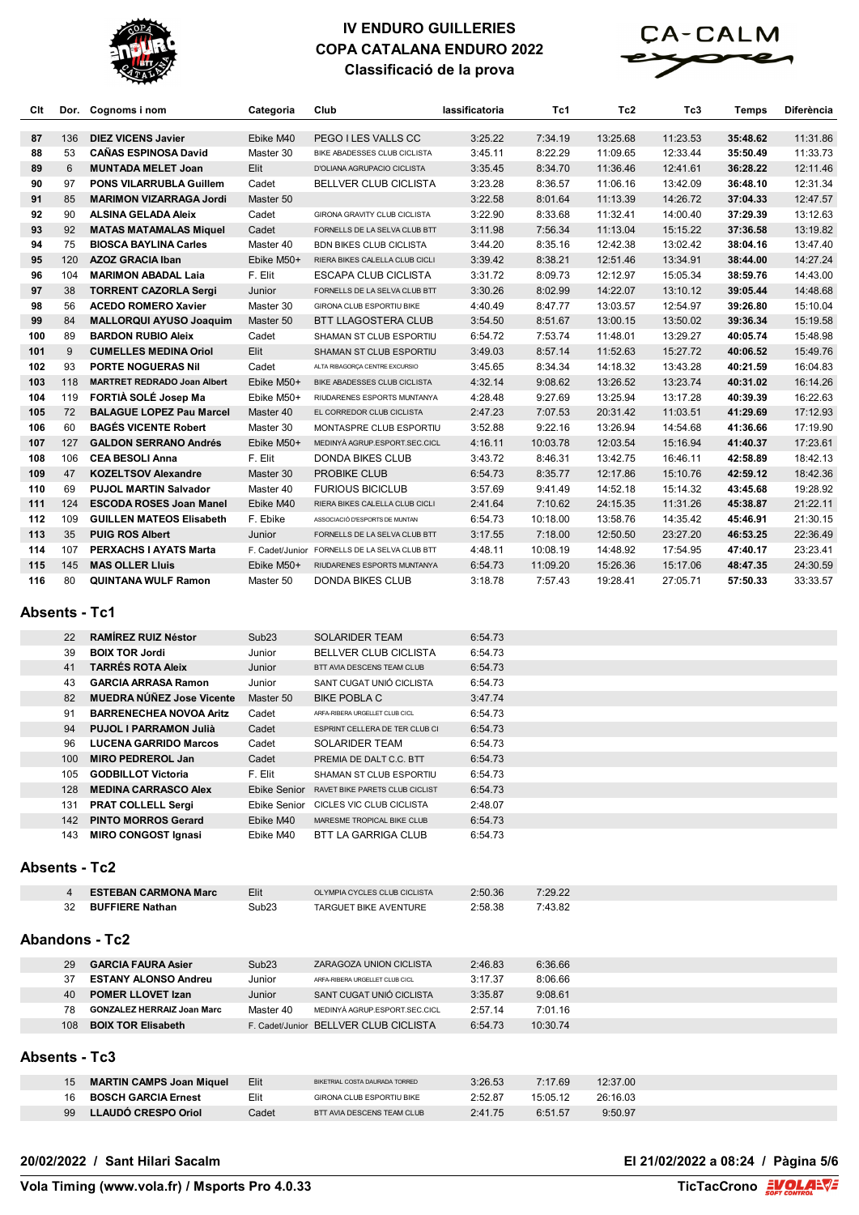



| Clt |     | Dor. Cognoms i nom                 | Categoria  | Club                                          | lassificatoria | Tc1      | Tc <sub>2</sub> | Tc3      | Temps    | Diferència |
|-----|-----|------------------------------------|------------|-----------------------------------------------|----------------|----------|-----------------|----------|----------|------------|
| 87  | 136 | <b>DIEZ VICENS Javier</b>          | Ebike M40  | PEGO I LES VALLS CC                           | 3:25.22        | 7:34.19  | 13:25.68        | 11:23.53 | 35:48.62 | 11:31.86   |
| 88  | 53  | <b>CAÑAS ESPINOSA David</b>        | Master 30  | BIKE ABADESSES CLUB CICLISTA                  | 3:45.11        | 8:22.29  | 11:09.65        | 12:33.44 | 35:50.49 | 11:33.73   |
| 89  | 6   | <b>MUNTADA MELET Joan</b>          | Elit       | <b>D'OLIANA AGRUPACIO CICLISTA</b>            | 3:35.45        | 8:34.70  | 11:36.46        | 12:41.61 | 36:28.22 | 12:11.46   |
| 90  | 97  | <b>PONS VILARRUBLA Guillem</b>     | Cadet      | <b>BELLVER CLUB CICLISTA</b>                  | 3:23.28        | 8:36.57  | 11:06.16        | 13:42.09 | 36:48.10 | 12:31.34   |
| 91  | 85  | <b>MARIMON VIZARRAGA Jordi</b>     | Master 50  |                                               | 3:22.58        | 8:01.64  | 11:13.39        | 14:26.72 | 37:04.33 | 12:47.57   |
| 92  | 90  | <b>ALSINA GELADA Aleix</b>         | Cadet      | <b>GIRONA GRAVITY CLUB CICLISTA</b>           | 3:22.90        | 8:33.68  | 11:32.41        | 14:00.40 | 37:29.39 | 13:12.63   |
| 93  | 92  | <b>MATAS MATAMALAS Miquel</b>      | Cadet      | FORNELLS DE LA SELVA CLUB BTT                 | 3:11.98        | 7:56.34  | 11:13.04        | 15:15.22 | 37:36.58 | 13:19.82   |
| 94  | 75  | <b>BIOSCA BAYLINA Carles</b>       | Master 40  | <b>BDN BIKES CLUB CICLISTA</b>                | 3:44.20        | 8:35.16  | 12:42.38        | 13:02.42 | 38:04.16 | 13:47.40   |
| 95  | 120 | <b>AZOZ GRACIA Iban</b>            | Ebike M50+ | RIERA BIKES CALELLA CLUB CICLI                | 3:39.42        | 8:38.21  | 12:51.46        | 13:34.91 | 38:44.00 | 14:27.24   |
| 96  | 104 | <b>MARIMON ABADAL Laia</b>         | F. Elit    | <b>ESCAPA CLUB CICLISTA</b>                   | 3:31.72        | 8:09.73  | 12:12.97        | 15:05.34 | 38:59.76 | 14:43.00   |
| 97  | 38  | <b>TORRENT CAZORLA Sergi</b>       | Junior     | FORNELLS DE LA SELVA CLUB BTT                 | 3:30.26        | 8:02.99  | 14:22.07        | 13:10.12 | 39:05.44 | 14:48.68   |
| 98  | 56  | <b>ACEDO ROMERO Xavier</b>         | Master 30  | GIRONA CLUB ESPORTIU BIKE                     | 4:40.49        | 8:47.77  | 13:03.57        | 12:54.97 | 39:26.80 | 15:10.04   |
| 99  | 84  | <b>MALLORQUI AYUSO Joaquim</b>     | Master 50  | <b>BTT LLAGOSTERA CLUB</b>                    | 3:54.50        | 8:51.67  | 13:00.15        | 13:50.02 | 39:36.34 | 15:19.58   |
| 100 | 89  | <b>BARDON RUBIO Aleix</b>          | Cadet      | SHAMAN ST CLUB ESPORTIU                       | 6:54.72        | 7:53.74  | 11:48.01        | 13:29.27 | 40:05.74 | 15:48.98   |
| 101 | 9   | <b>CUMELLES MEDINA Oriol</b>       | Elit       | <b>SHAMAN ST CLUB ESPORTIU</b>                | 3:49.03        | 8:57.14  | 11:52.63        | 15:27.72 | 40:06.52 | 15:49.76   |
| 102 | 93  | <b>PORTE NOGUERAS Nil</b>          | Cadet      | ALTA RIBAGORÇA CENTRE EXCURSIO                | 3:45.65        | 8:34.34  | 14:18.32        | 13:43.28 | 40:21.59 | 16:04.83   |
| 103 | 118 | <b>MARTRET REDRADO Joan Albert</b> | Ebike M50+ | BIKE ABADESSES CLUB CICLISTA                  | 4:32.14        | 9:08.62  | 13:26.52        | 13:23.74 | 40:31.02 | 16:14.26   |
| 104 | 119 | FORTIÀ SOLÉ Josep Ma               | Ebike M50+ | RIUDARENES ESPORTS MUNTANYA                   | 4:28.48        | 9:27.69  | 13:25.94        | 13:17.28 | 40:39.39 | 16:22.63   |
| 105 | 72  | <b>BALAGUE LOPEZ Pau Marcel</b>    | Master 40  | EL CORREDOR CLUB CICLISTA                     | 2:47.23        | 7:07.53  | 20:31.42        | 11:03.51 | 41:29.69 | 17:12.93   |
| 106 | 60  | <b>BAGÉS VICENTE Robert</b>        | Master 30  | MONTASPRE CLUB ESPORTIU                       | 3:52.88        | 9:22.16  | 13:26.94        | 14:54.68 | 41:36.66 | 17:19.90   |
| 107 | 127 | <b>GALDON SERRANO Andrés</b>       | Ebike M50+ | MEDINYÀ AGRUP.ESPORT.SEC.CICL                 | 4:16.11        | 10:03.78 | 12:03.54        | 15:16.94 | 41:40.37 | 17:23.61   |
| 108 | 106 | <b>CEA BESOLI Anna</b>             | F. Elit    | <b>DONDA BIKES CLUB</b>                       | 3:43.72        | 8:46.31  | 13:42.75        | 16:46.11 | 42:58.89 | 18:42.13   |
| 109 | 47  | <b>KOZELTSOV Alexandre</b>         | Master 30  | <b>PROBIKE CLUB</b>                           | 6:54.73        | 8:35.77  | 12:17.86        | 15:10.76 | 42:59.12 | 18:42.36   |
| 110 | 69  | <b>PUJOL MARTIN Salvador</b>       | Master 40  | <b>FURIOUS BICICLUB</b>                       | 3:57.69        | 9:41.49  | 14:52.18        | 15:14.32 | 43:45.68 | 19:28.92   |
| 111 | 124 | <b>ESCODA ROSES Joan Manel</b>     | Ebike M40  | RIERA BIKES CALELLA CLUB CICLI                | 2:41.64        | 7:10.62  | 24:15.35        | 11:31.26 | 45:38.87 | 21:22.11   |
| 112 | 109 | <b>GUILLEN MATEOS Elisabeth</b>    | F. Ebike   | ASSOCIACIÓ D'ESPORTS DE MUNTAN                | 6:54.73        | 10:18.00 | 13:58.76        | 14:35.42 | 45:46.91 | 21:30.15   |
| 113 | 35  | <b>PUIG ROS Albert</b>             | Junior     | FORNELLS DE LA SELVA CLUB BTT                 | 3:17.55        | 7:18.00  | 12:50.50        | 23:27.20 | 46:53.25 | 22:36.49   |
| 114 | 107 | <b>PERXACHS I AYATS Marta</b>      |            | F. Cadet/Junior FORNELLS DE LA SELVA CLUB BTT | 4:48.11        | 10:08.19 | 14:48.92        | 17:54.95 | 47:40.17 | 23:23.41   |
| 115 | 145 | <b>MAS OLLER Lluis</b>             | Ebike M50+ | RIUDARENES ESPORTS MUNTANYA                   | 6:54.73        | 11:09.20 | 15:26.36        | 15:17.06 | 48:47.35 | 24:30.59   |
| 116 | 80  | <b>QUINTANA WULF Ramon</b>         | Master 50  | <b>DONDA BIKES CLUB</b>                       | 3:18.78        | 7:57.43  | 19:28.41        | 27:05.71 | 57:50.33 | 33:33.57   |

#### **Absents - Tc1**

|                      | 22               | <b>RAMÍREZ RUIZ Néstor</b>        | Sub <sub>23</sub>   | <b>SOLARIDER TEAM</b>                 | 6:54.73 |          |          |  |  |
|----------------------|------------------|-----------------------------------|---------------------|---------------------------------------|---------|----------|----------|--|--|
|                      | 39               | <b>BOIX TOR Jordi</b>             | Junior              | <b>BELLVER CLUB CICLISTA</b>          | 6:54.73 |          |          |  |  |
|                      | 41               | <b>TARRÉS ROTA Aleix</b>          | Junior              | BTT AVIA DESCENS TEAM CLUB            | 6:54.73 |          |          |  |  |
|                      | 43               | <b>GARCIA ARRASA Ramon</b>        | Junior              | SANT CUGAT UNIÓ CICLISTA              | 6:54.73 |          |          |  |  |
|                      | 82               | <b>MUEDRA NÚÑEZ Jose Vicente</b>  | Master 50           | <b>BIKE POBLA C</b>                   | 3:47.74 |          |          |  |  |
|                      | 91               | <b>BARRENECHEA NOVOA Aritz</b>    | Cadet               | ARFA-RIBERA URGELLET CLUB CICL        | 6:54.73 |          |          |  |  |
|                      | 94               | <b>PUJOL I PARRAMON Julià</b>     | Cadet               | ESPRINT CELLERA DE TER CLUB CI        | 6:54.73 |          |          |  |  |
|                      | 96               | <b>LUCENA GARRIDO Marcos</b>      | Cadet               | <b>SOLARIDER TEAM</b>                 | 6:54.73 |          |          |  |  |
|                      | 100 <sup>°</sup> | <b>MIRO PEDREROL Jan</b>          | Cadet               | PREMIA DE DALT C.C. BTT               | 6:54.73 |          |          |  |  |
|                      | 105              | <b>GODBILLOT Victoria</b>         | F. Elit             | SHAMAN ST CLUB ESPORTIU               | 6:54.73 |          |          |  |  |
|                      | 128              | <b>MEDINA CARRASCO Alex</b>       | <b>Ebike Senior</b> | RAVET BIKE PARETS CLUB CICLIST        | 6:54.73 |          |          |  |  |
|                      | 131              | <b>PRAT COLLELL Sergi</b>         |                     | Ebike Senior CICLES VIC CLUB CICLISTA | 2:48.07 |          |          |  |  |
|                      | 142              | <b>PINTO MORROS Gerard</b>        | Ebike M40           | MARESME TROPICAL BIKE CLUB            | 6:54.73 |          |          |  |  |
|                      | 143              | <b>MIRO CONGOST Ignasi</b>        | Ebike M40           | <b>BTT LA GARRIGA CLUB</b>            | 6:54.73 |          |          |  |  |
|                      |                  |                                   |                     |                                       |         |          |          |  |  |
| <b>Absents - Tc2</b> |                  |                                   |                     |                                       |         |          |          |  |  |
|                      |                  |                                   |                     |                                       |         |          |          |  |  |
|                      | $\overline{4}$   | <b>ESTEBAN CARMONA Marc</b>       | Elit                | OLYMPIA CYCLES CLUB CICLISTA          | 2:50.36 | 7:29.22  |          |  |  |
|                      | 32               | <b>BUFFIERE Nathan</b>            | Sub <sub>23</sub>   | <b>TARGUET BIKE AVENTURE</b>          | 2:58.38 | 7:43.82  |          |  |  |
|                      |                  |                                   |                     |                                       |         |          |          |  |  |
|                      |                  | <b>Abandons - Tc2</b>             |                     |                                       |         |          |          |  |  |
|                      | 29               | <b>GARCIA FAURA Asier</b>         | Sub <sub>23</sub>   | <b>ZARAGOZA UNION CICLISTA</b>        | 2:46.83 | 6:36.66  |          |  |  |
|                      | 37               | <b>ESTANY ALONSO Andreu</b>       | Junior              | ARFA-RIBERA URGELLET CLUB CICL        | 3:17.37 | 8:06.66  |          |  |  |
|                      | 40               | <b>POMER LLOVET Izan</b>          | Junior              | SANT CUGAT UNIÓ CICLISTA              | 3:35.87 | 9:08.61  |          |  |  |
|                      | 78               | <b>GONZALEZ HERRAIZ Joan Marc</b> | Master 40           | MEDINYÀ AGRUP.ESPORT.SEC.CICL         | 2:57.14 | 7:01.16  |          |  |  |
|                      | 108              | <b>BOIX TOR Elisabeth</b>         |                     | F. Cadet/Junior BELLVER CLUB CICLISTA | 6:54.73 | 10:30.74 |          |  |  |
|                      |                  |                                   |                     |                                       |         |          |          |  |  |
| <b>Absents - Tc3</b> |                  |                                   |                     |                                       |         |          |          |  |  |
|                      | 15               | <b>MARTIN CAMPS Joan Miquel</b>   | Elit                | BIKETRIAL COSTA DAURADA TORRED        | 3:26.53 | 7:17.69  | 12:37.00 |  |  |
|                      | 16               | <b>BOSCH GARCIA Ernest</b>        | Elit                | <b>GIRONA CLUB ESPORTIU BIKE</b>      | 2:52.87 | 15:05.12 | 26:16.03 |  |  |
|                      | 99               | <b>LLAUDÓ CRESPO Oriol</b>        | Cadet               | BTT AVIA DESCENS TEAM CLUB            | 2:41.75 | 6:51.57  | 9:50.97  |  |  |

#### **20/02/2022 / Sant Hilari Sacalm El 21/02/2022 a 08:24 / Pàgina 5/6**